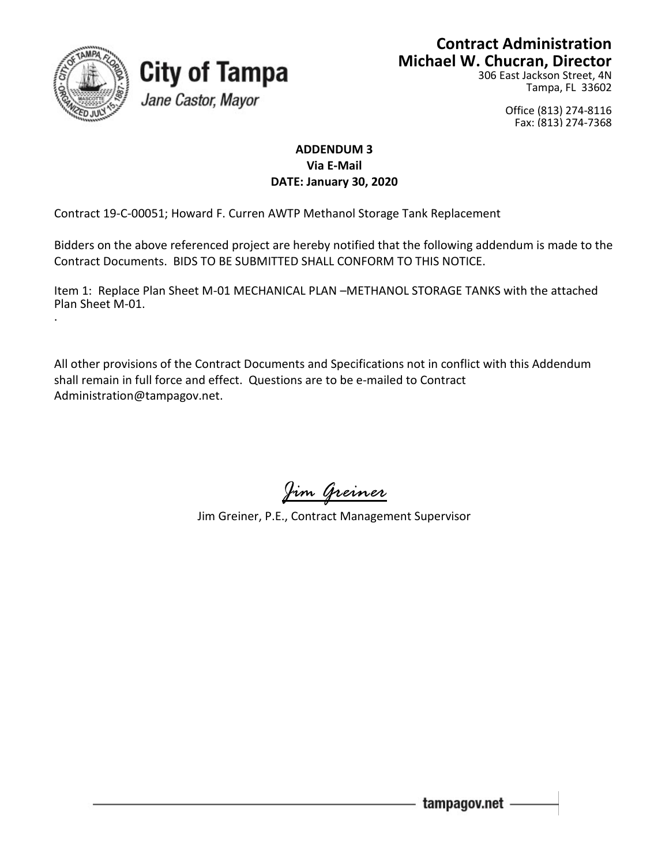

## **City of Tampa** Jane Castor, Mayor

## **Contract Administration Michael W. Chucran, Director**

306 East Jackson Street, 4N Tampa, FL 33602

> Office (813) 274-8116 Fax: (813) 274-7368

## **ADDENDUM 3 Via E-Mail DATE: January 30, 2020**

Contract 19-C-00051; Howard F. Curren AWTP Methanol Storage Tank Replacement

Bidders on the above referenced project are hereby notified that the following addendum is made to the Contract Documents. BIDS TO BE SUBMITTED SHALL CONFORM TO THIS NOTICE.

Item 1: Replace Plan Sheet M-01 MECHANICAL PLAN –METHANOL STORAGE TANKS with the attached Plan Sheet M-01. .

All other provisions of the Contract Documents and Specifications not in conflict with this Addendum shall remain in full force and effect. Questions are to be e-mailed to Contract Administration@tampagov.net.

*Jim Greiner*

Jim Greiner, P.E., Contract Management Supervisor